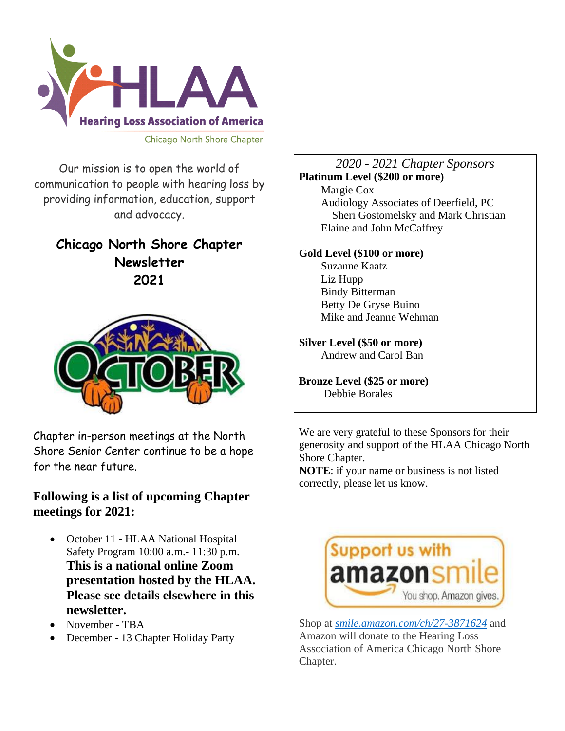

Our mission is to open the world of communication to people with hearing loss by providing information, education, support and advocacy.

### **Chicago North Shore Chapter Newsletter 2021**



Chapter in-person meetings at the North Shore Senior Center continue to be a hope for the near future.

### **Following is a list of upcoming Chapter meetings for 2021:**

- October 11 HLAA National Hospital Safety Program 10:00 a.m.- 11:30 p.m. **This is a national online Zoom presentation hosted by the HLAA. Please see details elsewhere in this newsletter.**
- November TBA
- December 13 Chapter Holiday Party

#### *2020 - 2021 Chapter Sponsors* **Platinum Level (\$200 or more)** Margie Cox Audiology Associates of Deerfield, PC Sheri Gostomelsky and Mark Christian Elaine and John McCaffrey

### **Gold Level (\$100 or more)**

 Suzanne Kaatz Liz Hupp Bindy Bitterman Betty De Gryse Buino Mike and Jeanne Wehman

### **Silver Level (\$50 or more)**

Andrew and Carol Ban

#### **Bronze Level (\$25 or more)** Debbie Borales

We are very grateful to these Sponsors for their generosity and support of the HLAA Chicago North Shore Chapter.

**NOTE**: if your name or business is not listed correctly, please let us know.



Shop at *[smile.amazon.com/ch/27-3871624](https://smile.amazon.com/gp/f.html?C=1ISN78MKH9BO5&K=335GHMLLUNWPP&M=urn:rtn:msg:201711261709243e998692f70f4f958c3b0d8c4fc0p0na&R=2QXN90TCYDI2Y&T=C&U=http%3A%2F%2Fsmile.amazon.com%2Fch%2F27-3871624&H=TGCVNDHNIX5ZIRJTWBNLXG15NMOA)* and Amazon will donate to the Hearing Loss Association of America Chicago North Shore Chapter.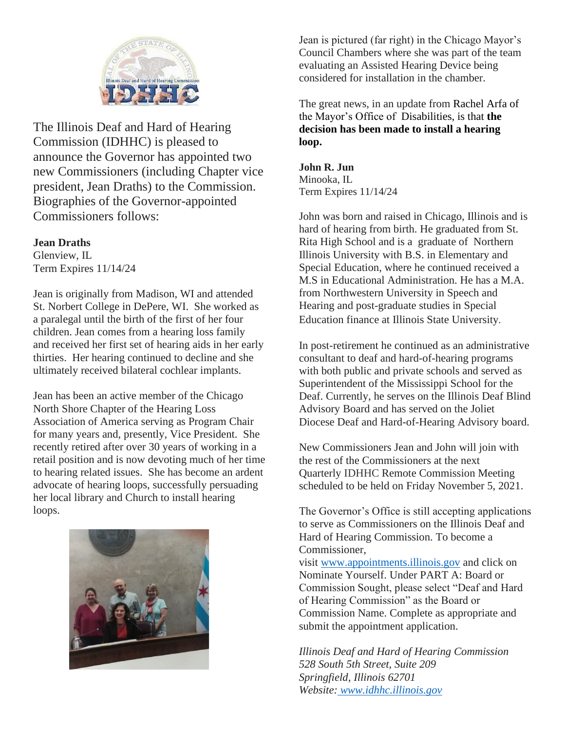

The Illinois Deaf and Hard of Hearing Commission (IDHHC) is pleased to announce the Governor has appointed two new Commissioners (including Chapter vice president, Jean Draths) to the Commission. Biographies of the Governor-appointed Commissioners follows:

#### **Jean Draths**

Glenview, IL Term Expires 11/14/24

Jean is originally from Madison, WI and attended St. Norbert College in DePere, WI. She worked as a paralegal until the birth of the first of her four children. Jean comes from a hearing loss family and received her first set of hearing aids in her early thirties. Her hearing continued to decline and she ultimately received bilateral cochlear implants.

Jean has been an active member of the Chicago North Shore Chapter of the Hearing Loss Association of America serving as Program Chair for many years and, presently, Vice President. She recently retired after over 30 years of working in a retail position and is now devoting much of her time to hearing related issues. She has become an ardent advocate of hearing loops, successfully persuading her local library and Church to install hearing loops.



Jean is pictured (far right) in the Chicago Mayor's Council Chambers where she was part of the team evaluating an Assisted Hearing Device being considered for installation in the chamber.

The great news, in an update from Rachel Arfa of the Mayor's Office of Disabilities, is that **the decision has been made to install a hearing loop.** 

**John R. Jun** Minooka, IL Term Expires 11/14/24

John was born and raised in Chicago, Illinois and is hard of hearing from birth. He graduated from St. Rita High School and is a graduate of Northern Illinois University with B.S. in Elementary and Special Education, where he continued received a M.S in Educational Administration. He has a M.A. from Northwestern University in Speech and Hearing and post-graduate studies in Special Education finance at Illinois State University.

In post-retirement he continued as an administrative consultant to deaf and hard-of-hearing programs with both public and private schools and served as Superintendent of the Mississippi School for the Deaf. Currently, he serves on the Illinois Deaf Blind Advisory Board and has served on the Joliet Diocese Deaf and Hard-of-Hearing Advisory board.

New Commissioners Jean and John will join with the rest of the Commissioners at the next Quarterly IDHHC Remote Commission Meeting scheduled to be held on Friday November 5, 2021.

The Governor's Office is still accepting applications to serve as Commissioners on the Illinois Deaf and Hard of Hearing Commission. To become a Commissioner,

visit [www.appointments.illinois.gov](http://lists.illinois.gov/t/1655922/156426948/5545/2/) and click on Nominate Yourself. Under PART A: Board or Commission Sought, please select "Deaf and Hard of Hearing Commission" as the Board or Commission Name. Complete as appropriate and submit the appointment application.

*Illinois Deaf and Hard of Hearing Commission 528 South 5th Street, Suite 209 Springfield, Illinois 62701 Website: [www.idhhc.illinois.gov](http://lists.illinois.gov/t/1655922/156426948/5025/3/)*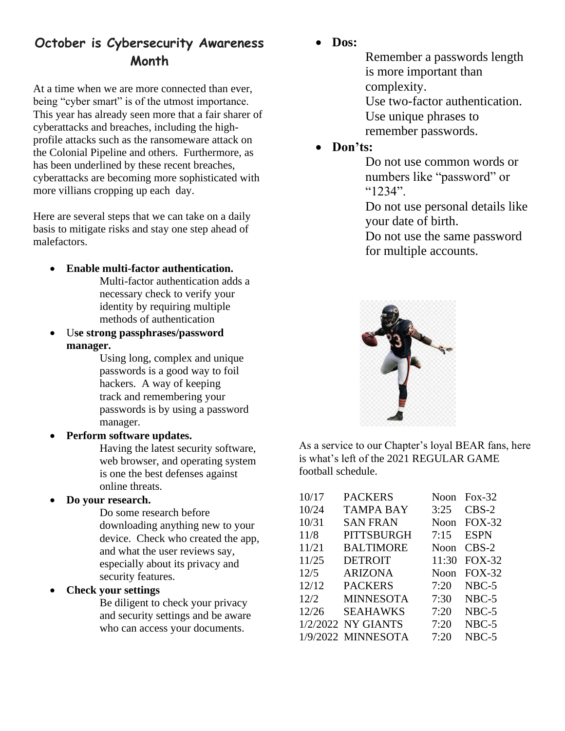### **October is Cybersecurity Awareness Month**

At a time when we are more connected than ever, being "cyber smart" is of the utmost importance. This year has already seen more that a fair sharer of cyberattacks and breaches, including the highprofile attacks such as the ransomeware attack on the Colonial Pipeline and others. Furthermore, as has been underlined by these recent breaches, cyberattacks are becoming more sophisticated with more villians cropping up each day.

Here are several steps that we can take on a daily basis to mitigate risks and stay one step ahead of malefactors.

- **Enable multi-factor authentication.**
	- Multi-factor authentication adds a necessary check to verify your identity by requiring multiple methods of authentication
- U**se strong passphrases/password manager.**

Using long, complex and unique passwords is a good way to foil hackers. A way of keeping track and remembering your passwords is by using a password manager.

• **Perform software updates.**

Having the latest security software, web browser, and operating system is one the best defenses against online threats.

• **Do your research.**

Do some research before downloading anything new to your device. Check who created the app, and what the user reviews say, especially about its privacy and security features.

### • **Check your settings**

Be diligent to check your privacy and security settings and be aware who can access your documents.

• **Dos:** 

Remember a passwords length is more important than complexity.

Use two-factor authentication. Use unique phrases to remember passwords.

• **Don'ts:**

Do not use common words or numbers like "password" or "1234".

Do not use personal details like your date of birth.

Do not use the same password for multiple accounts.



As a service to our Chapter's loyal BEAR fans, here is what's left of the 2021 REGULAR GAME football schedule.

| 10/17 | <b>PACKERS</b>     | Noon  | $Fox-32$      |
|-------|--------------------|-------|---------------|
| 10/24 | <b>TAMPA BAY</b>   | 3:25  | $CBS-2$       |
| 10/31 | <b>SAN FRAN</b>    | Noon  | <b>FOX-32</b> |
| 11/8  | <b>PITTSBURGH</b>  | 7:15  | <b>ESPN</b>   |
| 11/21 | <b>BALTIMORE</b>   | Noon  | $CBS-2$       |
| 11/25 | <b>DETROIT</b>     | 11:30 | $FOX-32$      |
| 12/5  | <b>ARIZONA</b>     | Noon  | $FOX-32$      |
| 12/12 | <b>PACKERS</b>     | 7:20  | $NBC-5$       |
| 12/2  | <b>MINNESOTA</b>   | 7:30  | $NBC-5$       |
| 12/26 | <b>SEAHAWKS</b>    | 7:20  | $NBC-5$       |
|       | 1/2/2022 NY GIANTS | 7:20  | NBC-5         |
|       | 1/9/2022 MINNESOTA | 7:20  | NBC-5         |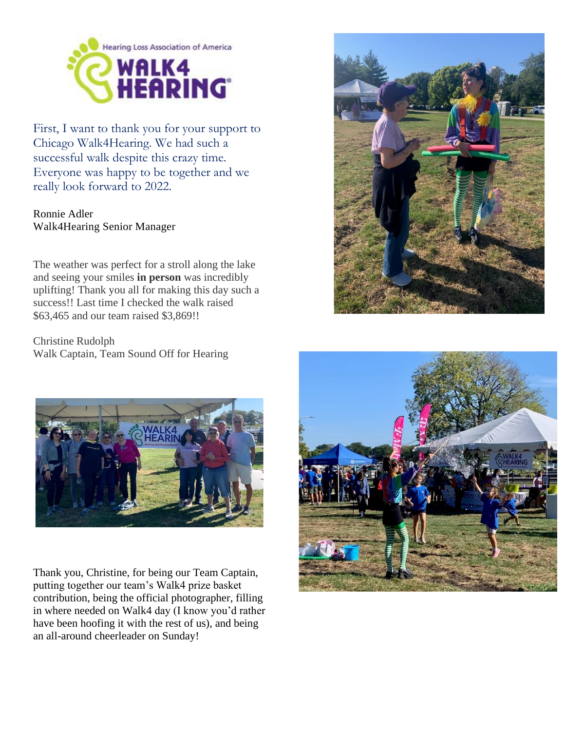

First, I want to thank you for your support to Chicago Walk4Hearing. We had such a successful walk despite this crazy time. Everyone was happy to be together and we really look forward to 2022.

Ronnie Adler Walk4Hearing Senior Manager

The weather was perfect for a stroll along the lake and seeing your smiles **in person** was incredibly uplifting! Thank you all for making this day such a success!! Last time I checked the walk raised \$63,465 and our team raised \$3,869!!

Christine Rudolph Walk Captain, Team Sound Off for Hearing



Thank you, Christine, for being our Team Captain, putting together our team's Walk4 prize basket contribution, being the official photographer, filling in where needed on Walk4 day (I know you'd rather have been hoofing it with the rest of us), and being an all-around cheerleader on Sunday!



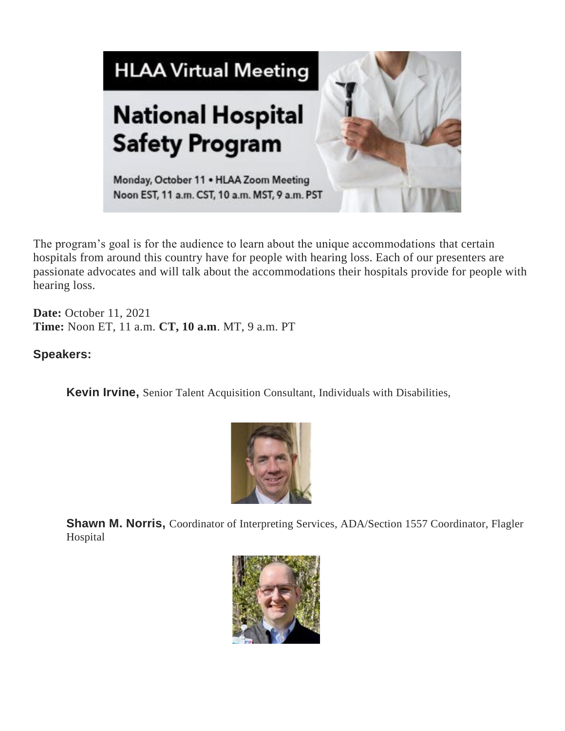

The program's goal is for the audience to learn about the unique accommodations that certain hospitals from around this country have for people with hearing loss. Each of our presenters are passionate advocates and will talk about the accommodations their hospitals provide for people with hearing loss.

**Date:** October 11, 2021 **Time:** Noon ET, 11 a.m. **CT, 10 a.m**. MT, 9 a.m. PT

### **Speakers:**

**Kevin Irvine,** Senior Talent Acquisition Consultant, Individuals with Disabilities,



**Shawn M. Norris,** Coordinator of Interpreting Services, ADA/Section 1557 Coordinator, Flagler Hospital

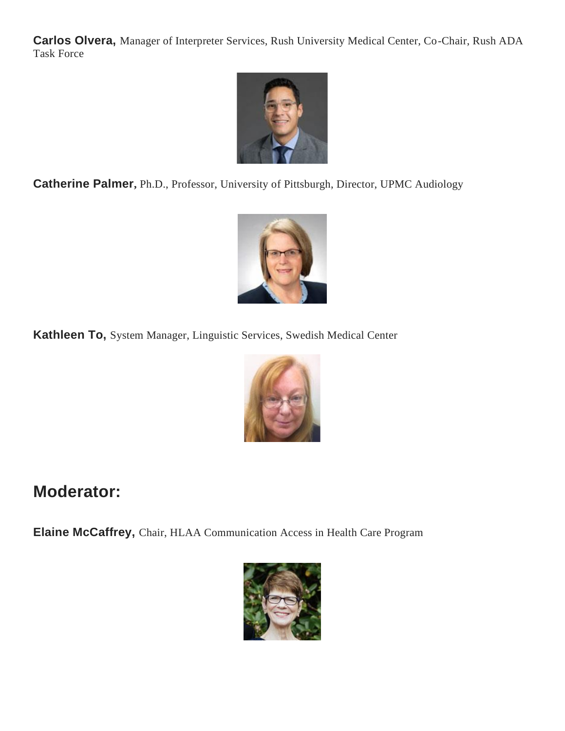**Carlos Olvera,** Manager of Interpreter Services, Rush University Medical Center, Co-Chair, Rush ADA Task Force



**Catherine Palmer,** Ph.D., Professor, University of Pittsburgh, Director, UPMC Audiology



**Kathleen To,** System Manager, Linguistic Services, Swedish Medical Center



## **Moderator:**

**Elaine McCaffrey,** Chair, HLAA Communication Access in Health Care Program